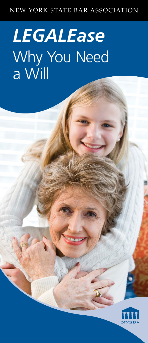#### NEW YORK STATE BAR ASSOCIATION

# *LEGALEase* Why You Need a Will

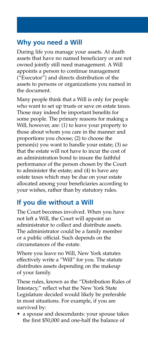# **Why you need a Will**

During life you manage your assets. At death assets that have no named beneficiary or are not owned jointly still need management. A Will appoints a person to continue management ("Executor") and directs distribution of the assets to persons or organizations you named in the document.

Many people think that a Will is only for people who want to set up trusts or save on estate taxes. Those may indeed be important benefits for some people. The primary reasons for making a Will, however, are: (1) to leave your property to those about whom you care in the manner and proportions you choose; (2) to choose the person(s) you want to handle your estate; (3) so that the estate will not have to incur the cost of an administration bond to insure the faithful performance of the person chosen by the Court to administer the estate; and (4) to have any estate taxes which may be due on your estate allocated among your beneficiaries according to your wishes, rather than by statutory rules.

# **If you die without a Will**

The Court becomes involved. When you have not left a Will, the Court will appoint an administrator to collect and distribute assets. The administrator could be a family member or a public official. Such depends on the circumstances of the estate.

Where you leave no Will, New York statutes effectively write a "Will" for you. The statute distributes assets depending on the makeup of your family.

These rules, known as the "Distribution Rules of Intestacy," reflect what the New York State Legislature decided would likely be preferable in most situations. For example, if you are survived by:

• a spouse and descendants: your spouse takes the first \$50,000 and one-half the balance of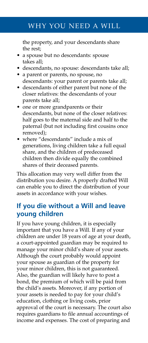## WHY YOU NEED A WILL

the property, and your descendants share the rest;

- a spouse but no descendants: spouse takes all;
- descendants, no spouse: descendants take all;
- a parent or parents, no spouse, no descendants: your parent or parents take all;
- descendants of either parent but none of the closer relatives: the descendants of your parents take all;
- one or more grandparents or their descendants, but none of the closer relatives: half goes to the maternal side and half to the paternal (but not including first cousins once removed);
- where "descendants" include a mix of generations, living children take a full equal share, and the children of predeceased children then divide equally the combined shares of their deceased parents.

This allocation may very well differ from the distribution you desire. A properly drafted Will can enable you to direct the distribution of your assets in accordance with your wishes.

#### **If you die without a Will and leave young children**

If you have young children, it is especially important that you have a Will. If any of your children are under 18 years of age at your death, a court-appointed guardian may be required to manage your minor child's share of your assets. Although the court probably would appoint your spouse as guardian of the property for your minor children, this is not guaranteed. Also, the guardian will likely have to post a bond, the premium of which will be paid from the child's assets. Moreover, if any portion of your assets is needed to pay for your child's education, clothing or living costs, prior approval of the court is necessary. The court also requires guardians to file annual accountings of income and expenses. The cost of preparing and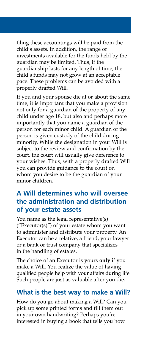filing these accountings will be paid from the child's assets. In addition, the range of investments available for the funds held by the guardian may be limited. Thus, if the guardianship lasts for any length of time, the child's funds may not grow at an acceptable pace. These problems can be avoided with a properly drafted Will.

If you and your spouse die at or about the same time, it is important that you make a provision not only for a guardian of the property of any child under age 18, but also and perhaps more importantly that you name a guardian of the person for each minor child. A guardian of the person is given custody of the child during minority. While the designation in your Will is subject to the review and confirmation by the court, the court will usually give deference to your wishes. Thus, with a properly drafted Will you can provide guidance to the court on whom you desire to be the guardian of your minor children.

#### **A Will determines who will oversee the administration and distribution of your estate assets**

You name as the legal representative(s) ("Executor(s)") of your estate whom you want to administer and distribute your property. An Executor can be a relative, a friend, your lawyer or a bank or trust company that specializes in the handling of estates.

The choice of an Executor is yours **only** if you make a Will. You realize the value of having qualified people help with your affairs during life. Such people are just as valuable after you die.

#### **What is the best way to make a Will?**

How do you go about making a Will? Can you pick up some printed forms and fill them out in your own handwriting? Perhaps you're interested in buying a book that tells you how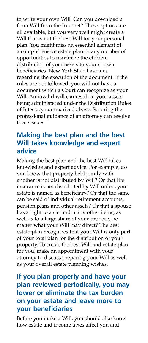to write your own Will. Can you download a form Will from the Internet? These options are all available, but you very well might create a Will that is not the best Will for your personal plan. You might miss an essential element of a comprehensive estate plan or any number of opportunities to maximize the efficient distribution of your assets to your chosen beneficiaries. New York State has rules regarding the execution of the document. If the rules are not followed, you will not have a document which a Court can recognize as your Will. An invalid will can result in your assets being administered under the Distribution Rules of Intestacy summarized above. Securing the professional guidance of an attorney can resolve these issues.

#### **Making the best plan and the best Will takes knowledge and expert advice**

Making the best plan and the best Will takes knowledge and expert advice. For example, do you know that property held jointly with another is not distributed by Will? Or that life insurance is not distributed by Will unless your estate is named as beneficiary? Or that the same can be said of individual retirement accounts, pension plans and other assets? Or that a spouse has a right to a car and many other items, as well as to a large share of your property no matter what your Will may direct? The best estate plan recognizes that your Will is only part of your total plan for the distribution of your property. To create the best Will and estate plan for you, make an appointment with your attorney to discuss preparing your Will as well as your overall estate planning wishes.

## **If you plan properly and have your plan reviewed periodically, you may lower or eliminate the tax burden on your estate and leave more to your beneficiaries**

Before you make a Will, you should also know how estate and income taxes affect you and